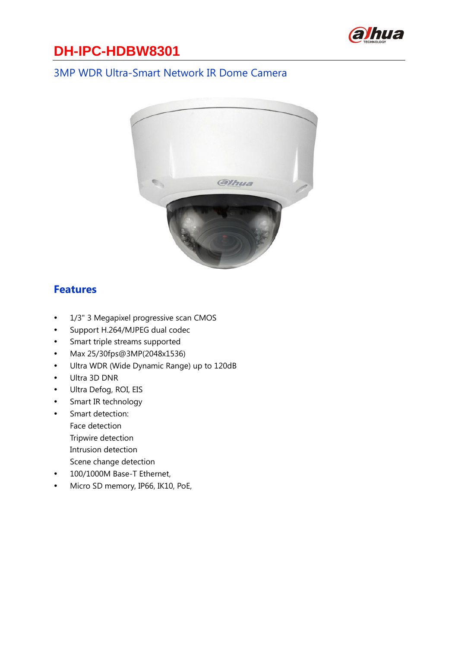

#### 3MP WDR Ultra-Smart Network IR Dome Camera



#### **Features**

- 1/3" 3 Megapixel progressive scan CMOS
- Support H.264/MJPEG dual codec
- Smart triple streams supported
- Max 25/30fps@3MP(2048x1536)
- Ultra WDR (Wide Dynamic Range) up to 120dB
- Ultra 3D DNR
- Ultra Defog, ROI, EIS
- Smart IR technology
- Smart detection:
	- Face detection
	- Tripwire detection
	- Intrusion detection
	- Scene change detection
- 100/1000M Base-T Ethernet,
- Micro SD memory, IP66, IK10, PoE,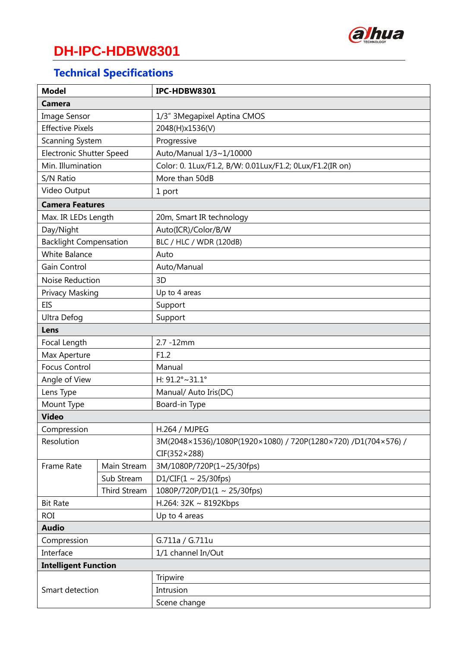

## **Technical Specifications**

| <b>Model</b>                    |                     | IPC-HDBW8301                                                   |  |  |  |
|---------------------------------|---------------------|----------------------------------------------------------------|--|--|--|
| <b>Camera</b>                   |                     |                                                                |  |  |  |
| <b>Image Sensor</b>             |                     | 1/3" 3Megapixel Aptina CMOS                                    |  |  |  |
| <b>Effective Pixels</b>         |                     | 2048(H)x1536(V)                                                |  |  |  |
| Scanning System                 |                     | Progressive                                                    |  |  |  |
| <b>Electronic Shutter Speed</b> |                     | Auto/Manual 1/3~1/10000                                        |  |  |  |
| Min. Illumination               |                     | Color: 0. 1Lux/F1.2, B/W: 0.01Lux/F1.2; 0Lux/F1.2(IR on)       |  |  |  |
| S/N Ratio                       |                     | More than 50dB                                                 |  |  |  |
| Video Output                    |                     | 1 port                                                         |  |  |  |
| <b>Camera Features</b>          |                     |                                                                |  |  |  |
| Max. IR LEDs Length             |                     | 20m, Smart IR technology                                       |  |  |  |
| Day/Night                       |                     | Auto(ICR)/Color/B/W                                            |  |  |  |
| <b>Backlight Compensation</b>   |                     | BLC / HLC / WDR (120dB)                                        |  |  |  |
| <b>White Balance</b>            |                     | Auto                                                           |  |  |  |
| Gain Control                    |                     | Auto/Manual                                                    |  |  |  |
| Noise Reduction                 |                     | 3D                                                             |  |  |  |
| Privacy Masking                 |                     | Up to 4 areas                                                  |  |  |  |
| <b>EIS</b>                      |                     | Support                                                        |  |  |  |
| Ultra Defog                     |                     | Support                                                        |  |  |  |
| Lens                            |                     |                                                                |  |  |  |
| Focal Length                    |                     | 2.7 -12mm                                                      |  |  |  |
| Max Aperture                    |                     | F1.2                                                           |  |  |  |
| <b>Focus Control</b>            |                     | Manual                                                         |  |  |  |
| Angle of View                   |                     | H: $91.2^{\circ}$ ~31.1°                                       |  |  |  |
| Lens Type                       |                     | Manual/ Auto Iris(DC)                                          |  |  |  |
| Mount Type                      |                     | Board-in Type                                                  |  |  |  |
| <b>Video</b>                    |                     |                                                                |  |  |  |
| Compression                     |                     | H.264 / MJPEG                                                  |  |  |  |
| Resolution                      |                     | 3M(2048×1536)/1080P(1920×1080) / 720P(1280×720) /D1(704×576) / |  |  |  |
|                                 |                     | $CIF(352\times288)$                                            |  |  |  |
| Frame Rate                      | Main Stream         | 3M/1080P/720P(1~25/30fps)                                      |  |  |  |
|                                 | Sub Stream          | D1/CIF(1 ~ 25/30fps)                                           |  |  |  |
|                                 | <b>Third Stream</b> | $1080P/720P/D1(1 \sim 25/30fps)$                               |  |  |  |
| <b>Bit Rate</b>                 |                     | H.264: 32K ~ 8192Kbps                                          |  |  |  |
| <b>ROI</b>                      |                     | Up to 4 areas                                                  |  |  |  |
| <b>Audio</b>                    |                     |                                                                |  |  |  |
| Compression                     |                     | G.711a / G.711u                                                |  |  |  |
| Interface                       |                     | 1/1 channel In/Out                                             |  |  |  |
| <b>Intelligent Function</b>     |                     |                                                                |  |  |  |
| Smart detection                 |                     | Tripwire                                                       |  |  |  |
|                                 |                     | Intrusion                                                      |  |  |  |
|                                 |                     | Scene change                                                   |  |  |  |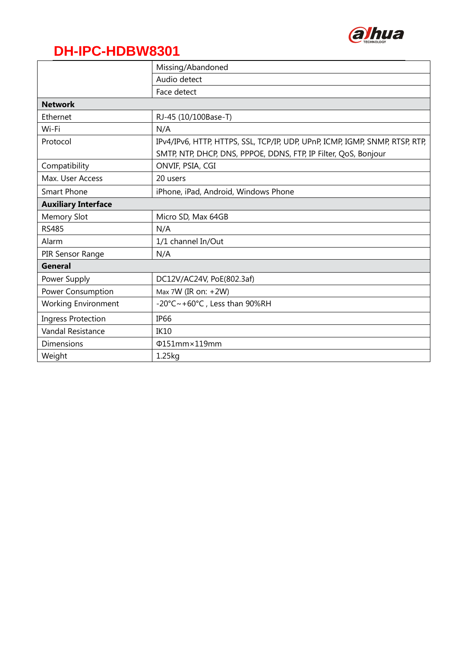

|                            | Missing/Abandoned                                                            |  |  |  |  |  |
|----------------------------|------------------------------------------------------------------------------|--|--|--|--|--|
|                            | Audio detect                                                                 |  |  |  |  |  |
|                            | Face detect                                                                  |  |  |  |  |  |
| <b>Network</b>             |                                                                              |  |  |  |  |  |
| Ethernet                   | RJ-45 (10/100Base-T)                                                         |  |  |  |  |  |
| Wi-Fi                      | N/A                                                                          |  |  |  |  |  |
| Protocol                   | IPv4/IPv6, HTTP, HTTPS, SSL, TCP/IP, UDP, UPnP, ICMP, IGMP, SNMP, RTSP, RTP, |  |  |  |  |  |
|                            | SMTP, NTP, DHCP, DNS, PPPOE, DDNS, FTP, IP Filter, QoS, Bonjour              |  |  |  |  |  |
| Compatibility              | ONVIF, PSIA, CGI                                                             |  |  |  |  |  |
| Max. User Access           | 20 users                                                                     |  |  |  |  |  |
| <b>Smart Phone</b>         | iPhone, iPad, Android, Windows Phone                                         |  |  |  |  |  |
| <b>Auxiliary Interface</b> |                                                                              |  |  |  |  |  |
| <b>Memory Slot</b>         | Micro SD, Max 64GB                                                           |  |  |  |  |  |
| <b>RS485</b>               | N/A                                                                          |  |  |  |  |  |
| Alarm                      | 1/1 channel In/Out                                                           |  |  |  |  |  |
| PIR Sensor Range           | N/A                                                                          |  |  |  |  |  |
| General                    |                                                                              |  |  |  |  |  |
| Power Supply               | DC12V/AC24V, PoE(802.3af)                                                    |  |  |  |  |  |
| Power Consumption          | Max 7W (IR on: +2W)                                                          |  |  |  |  |  |
| <b>Working Environment</b> | -20°C~+60°C, Less than 90%RH                                                 |  |  |  |  |  |
| <b>Ingress Protection</b>  | <b>IP66</b>                                                                  |  |  |  |  |  |
| <b>Vandal Resistance</b>   | <b>IK10</b>                                                                  |  |  |  |  |  |
| Dimensions                 | Φ151mm×119mm                                                                 |  |  |  |  |  |
| Weight                     | 1.25kg                                                                       |  |  |  |  |  |